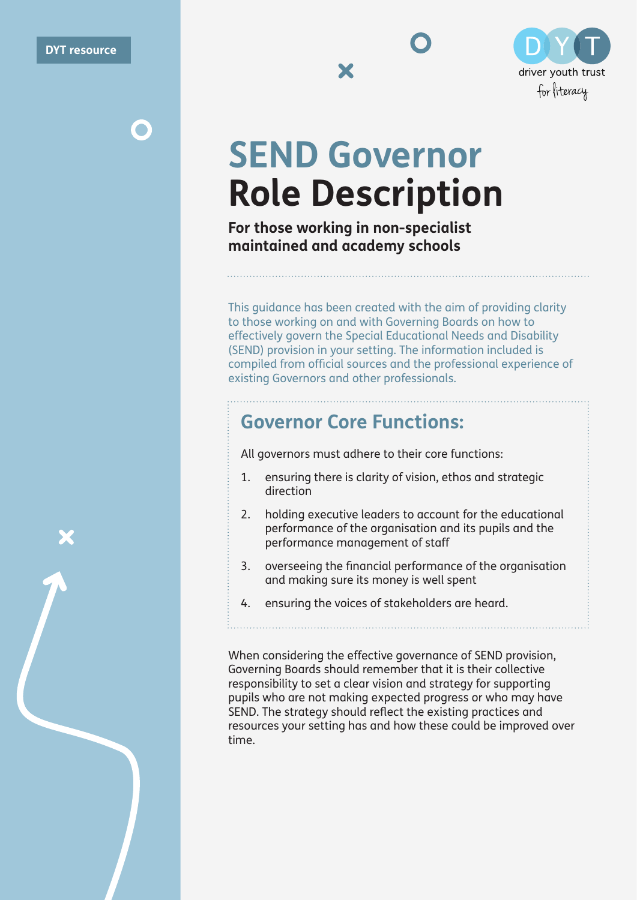$\bullet$ 



X



# **SEND Governor Role Description**

**For those working in non-specialist maintained and academy schools**

This guidance has been created with the aim of providing clarity to those working on and with Governing Boards on how to effectively govern the Special Educational Needs and Disability (SEND) provision in your setting. The information included is compiled from official sources and the professional experience of existing Governors and other professionals.

### **Governor Core Functions:**

All governors must adhere to their core functions:

- 1. ensuring there is clarity of vision, ethos and strategic direction
- 2. holding executive leaders to account for the educational performance of the organisation and its pupils and the performance management of staff
- 3. overseeing the financial performance of the organisation and making sure its money is well spent
- 4. ensuring the voices of stakeholders are heard.

When considering the effective governance of SEND provision, Governing Boards should remember that it is their collective responsibility to set a clear vision and strategy for supporting pupils who are not making expected progress or who may have SEND. The strategy should reflect the existing practices and resources your setting has and how these could be improved over time.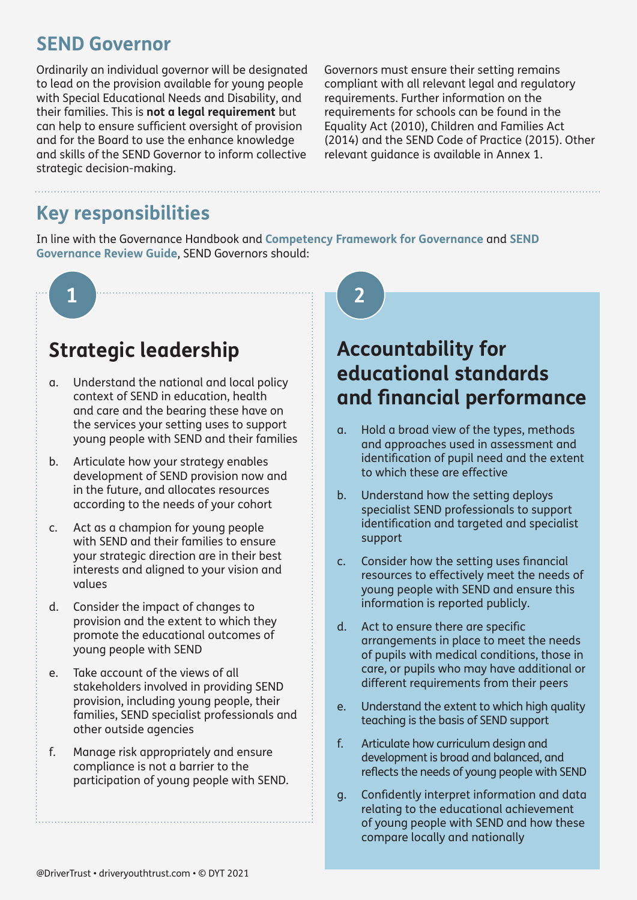### **SEND Governor**

Ordinarily an individual governor will be designated to lead on the provision available for young people with Special Educational Needs and Disability, and their families. This is **not a legal requirement** but can help to ensure sufficient oversight of provision and for the Board to use the enhance knowledge and skills of the SEND Governor to inform collective strategic decision-making.

Governors must ensure their setting remains compliant with all relevant legal and regulatory requirements. Further information on the requirements for schools can be found in the Equality Act (2010), Children and Families Act (2014) and the SEND Code of Practice (2015). Other relevant guidance is available in Annex 1.

### **Key responsibilities**

In line with the Governance Handbook and **[Competency Framework for Governance](https://assets.publishing.service.gov.uk/government/uploads/system/uploads/attachment_data/file/583733/Competency_framework_for_governance_.pdf)** and **[SEND](https://www.driveryouthtrust.com/wp-content/uploads/2019/12/Governance-review.pdf)  [Governance Review Guide](https://www.driveryouthtrust.com/wp-content/uploads/2019/12/Governance-review.pdf)**, SEND Governors should:



# **Strategic leadership**

- a. Understand the national and local policy context of SEND in education, health and care and the bearing these have on the services your setting uses to support young people with SEND and their families
- b. Articulate how your strategy enables development of SEND provision now and in the future, and allocates resources according to the needs of your cohort
- c. Act as a champion for young people with SEND and their families to ensure your strategic direction are in their best interests and aligned to your vision and values
- d. Consider the impact of changes to provision and the extent to which they promote the educational outcomes of young people with SEND
- e. Take account of the views of all stakeholders involved in providing SEND provision, including young people, their families, SEND specialist professionals and other outside agencies
- f. Manage risk appropriately and ensure compliance is not a barrier to the participation of young people with SEND.

# **Accountability for educational standards and financial performance**

- a. Hold a broad view of the types, methods and approaches used in assessment and identification of pupil need and the extent to which these are effective
- b. Understand how the setting deploys specialist SEND professionals to support identification and targeted and specialist support
- c. Consider how the setting uses financial resources to effectively meet the needs of young people with SEND and ensure this information is reported publicly.
- d. Act to ensure there are specific arrangements in place to meet the needs of pupils with medical conditions, those in care, or pupils who may have additional or different requirements from their peers
- e. Understand the extent to which high quality teaching is the basis of SEND support
- f. Articulate how curriculum design and development is broad and balanced, and reflects the needs of young people with SEND
- g. Confidently interpret information and data relating to the educational achievement of young people with SEND and how these compare locally and nationally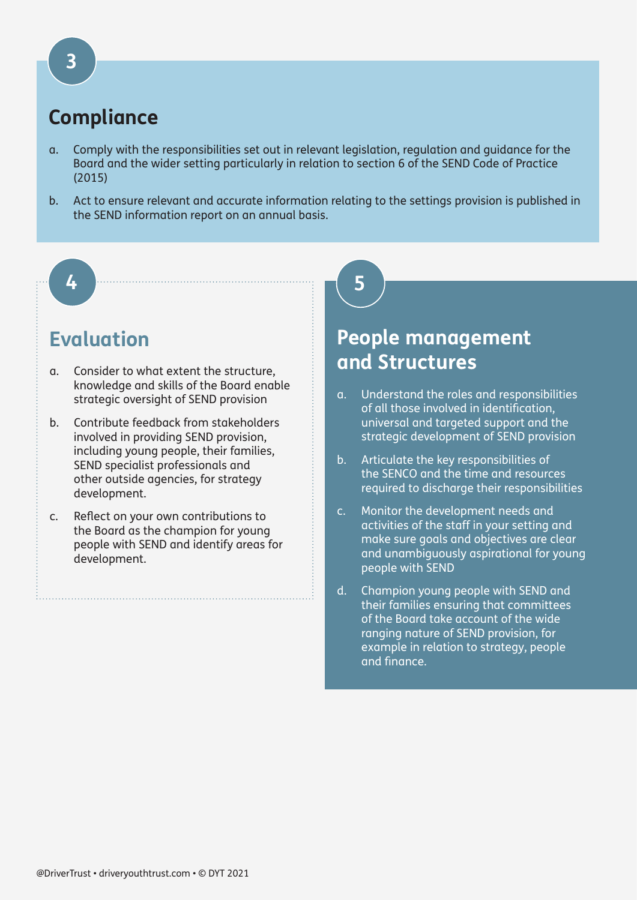# **Compliance**

- a. Comply with the responsibilities set out in relevant legislation, regulation and guidance for the Board and the wider setting particularly in relation to section 6 of the SEND Code of Practice (2015)
- b. Act to ensure relevant and accurate information relating to the settings provision is published in the SEND information report on an annual basis.

**5**

#### **4**

## **Evaluation**

- a. Consider to what extent the structure, knowledge and skills of the Board enable strategic oversight of SEND provision
- b. Contribute feedback from stakeholders involved in providing SEND provision, including young people, their families, SEND specialist professionals and other outside agencies, for strategy development.
- c. Reflect on your own contributions to the Board as the champion for young people with SEND and identify areas for development.

# **People management and Structures**

- a. Understand the roles and responsibilities of all those involved in identification, universal and targeted support and the strategic development of SEND provision
- b. Articulate the key responsibilities of the SENCO and the time and resources required to discharge their responsibilities
- c. Monitor the development needs and activities of the staff in your setting and make sure goals and objectives are clear and unambiguously aspirational for young people with SEND
- d. Champion young people with SEND and their families ensuring that committees of the Board take account of the wide ranging nature of SEND provision, for example in relation to strategy, people and finance.